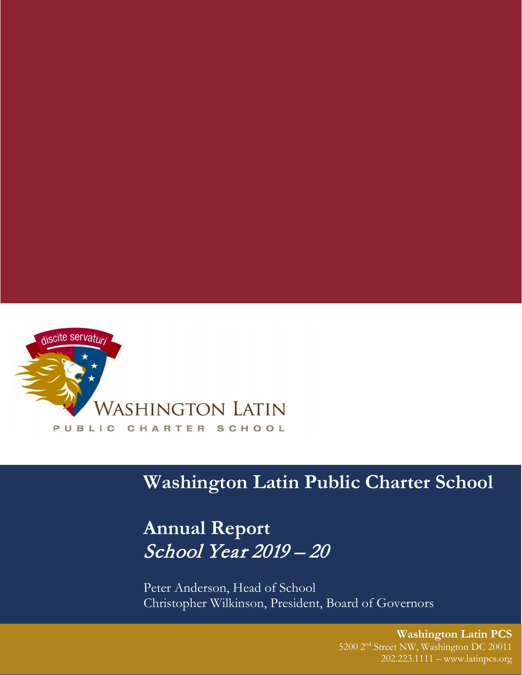

# **Washington Latin Public Charter School**

# **Annual Report** School Year 2019 – 20

Peter Anderson, Head of School Christopher Wilkinson, President, Board of Governors

> **Washington Latin PCS** 5200 2nd Street NW, Washington DC 20011 202.223.1111 – www.latinpcs.org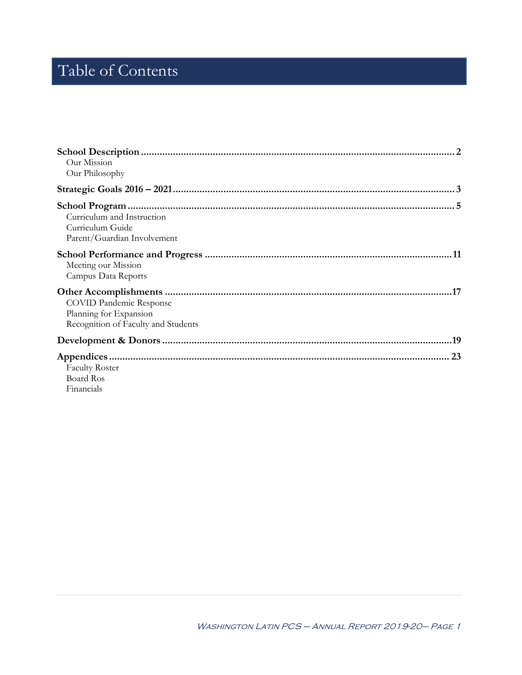# Table of Contents

| Our Mission                                     |    |
|-------------------------------------------------|----|
| Our Philosophy                                  |    |
|                                                 |    |
|                                                 |    |
| Curriculum and Instruction                      |    |
| Curriculum Guide<br>Parent/Guardian Involvement |    |
|                                                 |    |
|                                                 |    |
| Meeting our Mission<br>Campus Data Reports      |    |
|                                                 |    |
| <b>COVID Pandemic Response</b>                  |    |
| Planning for Expansion                          |    |
| Recognition of Faculty and Students             |    |
|                                                 |    |
|                                                 | 23 |
| <b>Faculty Roster</b>                           |    |
| <b>Board Ros</b>                                |    |
| Financials                                      |    |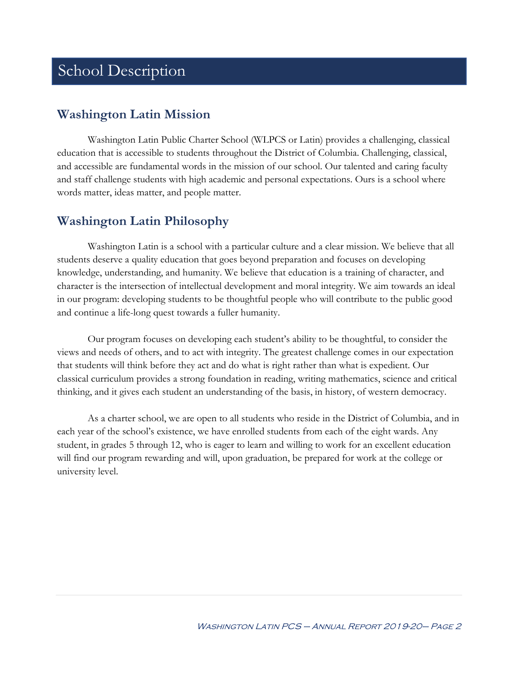## School Description

## **Washington Latin Mission**

Washington Latin Public Charter School (WLPCS or Latin) provides a challenging, classical education that is accessible to students throughout the District of Columbia. Challenging, classical, and accessible are fundamental words in the mission of our school. Our talented and caring faculty and staff challenge students with high academic and personal expectations. Ours is a school where words matter, ideas matter, and people matter.

## **Washington Latin Philosophy**

Washington Latin is a school with a particular culture and a clear mission. We believe that all students deserve a quality education that goes beyond preparation and focuses on developing knowledge, understanding, and humanity. We believe that education is a training of character, and character is the intersection of intellectual development and moral integrity. We aim towards an ideal in our program: developing students to be thoughtful people who will contribute to the public good and continue a life-long quest towards a fuller humanity.

Our program focuses on developing each student's ability to be thoughtful, to consider the views and needs of others, and to act with integrity. The greatest challenge comes in our expectation that students will think before they act and do what is right rather than what is expedient. Our classical curriculum provides a strong foundation in reading, writing mathematics, science and critical thinking, and it gives each student an understanding of the basis, in history, of western democracy.

As a charter school, we are open to all students who reside in the District of Columbia, and in each year of the school's existence, we have enrolled students from each of the eight wards. Any student, in grades 5 through 12, who is eager to learn and willing to work for an excellent education will find our program rewarding and will, upon graduation, be prepared for work at the college or university level.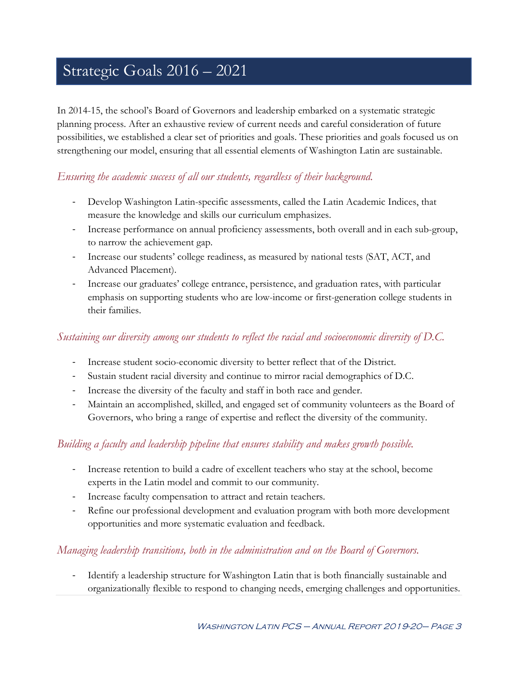# Strategic Goals 2016 – 2021

In 2014-15, the school's Board of Governors and leadership embarked on a systematic strategic planning process. After an exhaustive review of current needs and careful consideration of future possibilities, we established a clear set of priorities and goals. These priorities and goals focused us on strengthening our model, ensuring that all essential elements of Washington Latin are sustainable.

## *Ensuring the academic success of all our students, regardless of their background.*

- Develop Washington Latin-specific assessments, called the Latin Academic Indices, that measure the knowledge and skills our curriculum emphasizes.
- Increase performance on annual proficiency assessments, both overall and in each sub-group, to narrow the achievement gap.
- Increase our students' college readiness, as measured by national tests (SAT, ACT, and Advanced Placement).
- Increase our graduates' college entrance, persistence, and graduation rates, with particular emphasis on supporting students who are low-income or first-generation college students in their families.

## *Sustaining our diversity among our students to reflect the racial and socioeconomic diversity of D.C.*

- Increase student socio-economic diversity to better reflect that of the District.
- Sustain student racial diversity and continue to mirror racial demographics of D.C.
- Increase the diversity of the faculty and staff in both race and gender.
- Maintain an accomplished, skilled, and engaged set of community volunteers as the Board of Governors, who bring a range of expertise and reflect the diversity of the community.

## *Building a faculty and leadership pipeline that ensures stability and makes growth possible.*

- Increase retention to build a cadre of excellent teachers who stay at the school, become experts in the Latin model and commit to our community.
- Increase faculty compensation to attract and retain teachers.
- Refine our professional development and evaluation program with both more development opportunities and more systematic evaluation and feedback.

## *Managing leadership transitions, both in the administration and on the Board of Governors.*

- Identify a leadership structure for Washington Latin that is both financially sustainable and organizationally flexible to respond to changing needs, emerging challenges and opportunities.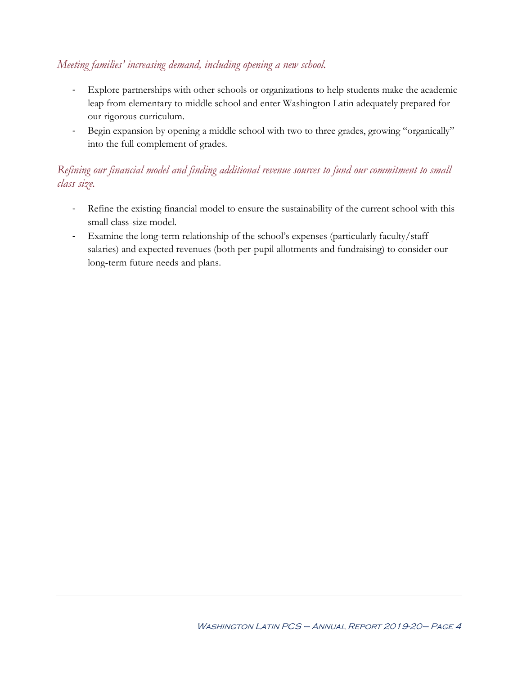## *Meeting families' increasing demand, including opening a new school.*

- Explore partnerships with other schools or organizations to help students make the academic leap from elementary to middle school and enter Washington Latin adequately prepared for our rigorous curriculum.
- Begin expansion by opening a middle school with two to three grades, growing "organically" into the full complement of grades.

## *Refining our financial model and finding additional revenue sources to fund our commitment to small class size.*

- Refine the existing financial model to ensure the sustainability of the current school with this small class-size model.
- Examine the long-term relationship of the school's expenses (particularly faculty/staff salaries) and expected revenues (both per-pupil allotments and fundraising) to consider our long-term future needs and plans.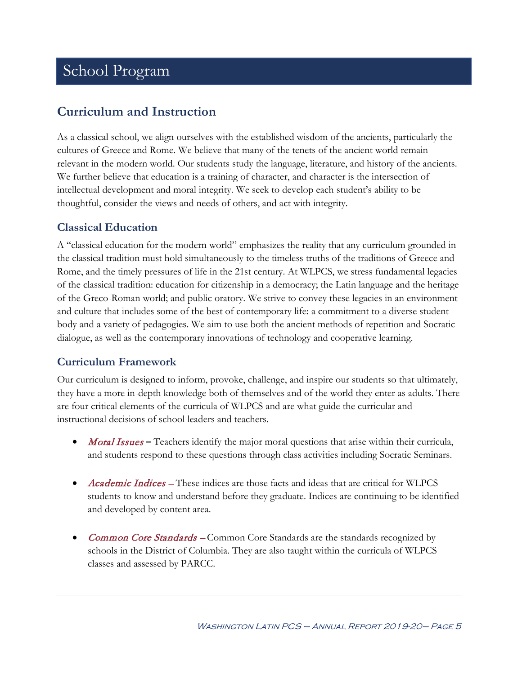# School Program

## **Curriculum and Instruction**

As a classical school, we align ourselves with the established wisdom of the ancients, particularly the cultures of Greece and Rome. We believe that many of the tenets of the ancient world remain relevant in the modern world. Our students study the language, literature, and history of the ancients. We further believe that education is a training of character, and character is the intersection of intellectual development and moral integrity. We seek to develop each student's ability to be thoughtful, consider the views and needs of others, and act with integrity.

## **Classical Education**

A "classical education for the modern world" emphasizes the reality that any curriculum grounded in the classical tradition must hold simultaneously to the timeless truths of the traditions of Greece and Rome, and the timely pressures of life in the 21st century. At WLPCS, we stress fundamental legacies of the classical tradition: education for citizenship in a democracy; the Latin language and the heritage of the Greco-Roman world; and public oratory. We strive to convey these legacies in an environment and culture that includes some of the best of contemporary life: a commitment to a diverse student body and a variety of pedagogies. We aim to use both the ancient methods of repetition and Socratic dialogue, as well as the contemporary innovations of technology and cooperative learning.

## **Curriculum Framework**

Our curriculum is designed to inform, provoke, challenge, and inspire our students so that ultimately, they have a more in-depth knowledge both of themselves and of the world they enter as adults. There are four critical elements of the curricula of WLPCS and are what guide the curricular and instructional decisions of school leaders and teachers.

- *Moral Issues* Teachers identify the major moral questions that arise within their curricula, and students respond to these questions through class activities including Socratic Seminars.
- Academic Indices These indices are those facts and ideas that are critical for WLPCS students to know and understand before they graduate. Indices are continuing to be identified and developed by content area.
- **Common Core Standards Common Core Standards are the standards recognized by** schools in the District of Columbia. They are also taught within the curricula of WLPCS classes and assessed by PARCC.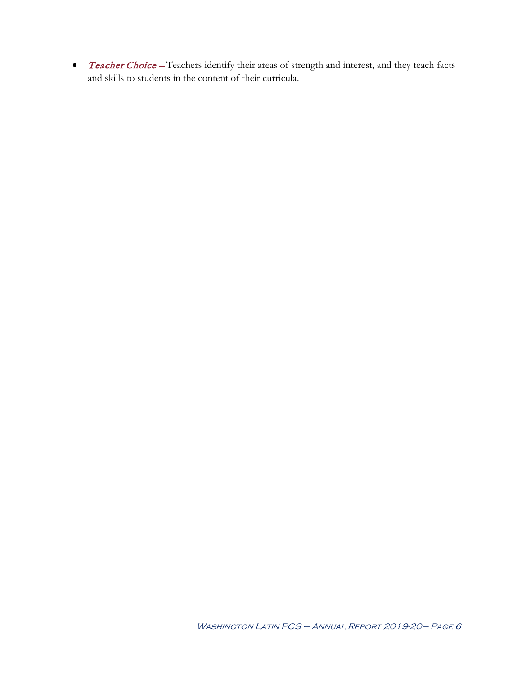• Teacher Choice – Teachers identify their areas of strength and interest, and they teach facts and skills to students in the content of their curricula.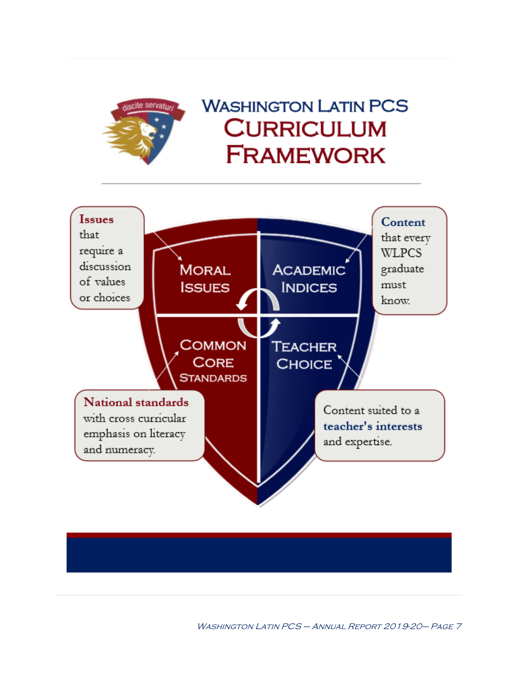

# **WASHINGTON LATIN PCS CURRICULUM FRAMEWORK**



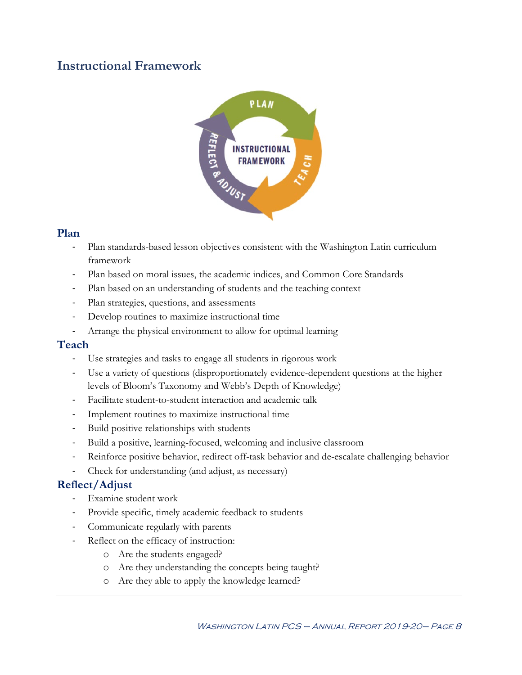## **Instructional Framework**



### **Plan**

- Plan standards-based lesson objectives consistent with the Washington Latin curriculum framework
- Plan based on moral issues, the academic indices, and Common Core Standards
- Plan based on an understanding of students and the teaching context
- Plan strategies, questions, and assessments
- Develop routines to maximize instructional time
- Arrange the physical environment to allow for optimal learning

### **Teach**

- Use strategies and tasks to engage all students in rigorous work
- Use a variety of questions (disproportionately evidence-dependent questions at the higher levels of Bloom's Taxonomy and Webb's Depth of Knowledge)
- Facilitate student-to-student interaction and academic talk
- Implement routines to maximize instructional time
- Build positive relationships with students
- Build a positive, learning-focused, welcoming and inclusive classroom
- Reinforce positive behavior, redirect off-task behavior and de-escalate challenging behavior
- Check for understanding (and adjust, as necessary)

## **Reflect/Adjust**

- Examine student work
- Provide specific, timely academic feedback to students
- Communicate regularly with parents
- Reflect on the efficacy of instruction:
	- o Are the students engaged?
	- o Are they understanding the concepts being taught?
	- o Are they able to apply the knowledge learned?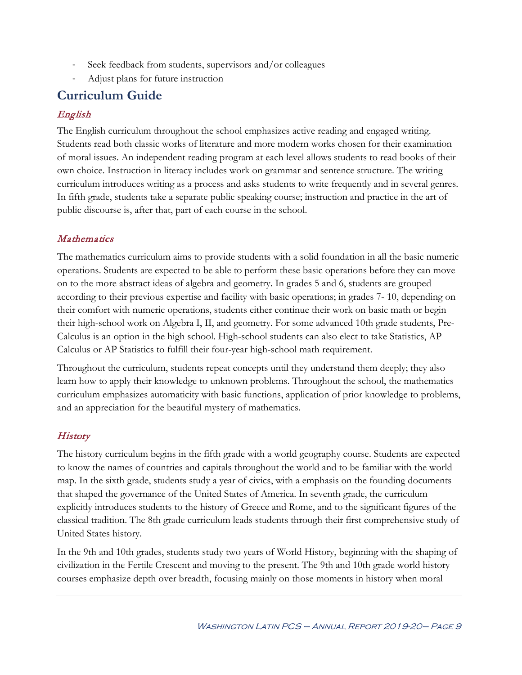- Seek feedback from students, supervisors and/or colleagues
- Adjust plans for future instruction

## **Curriculum Guide**

### English

The English curriculum throughout the school emphasizes active reading and engaged writing. Students read both classic works of literature and more modern works chosen for their examination of moral issues. An independent reading program at each level allows students to read books of their own choice. Instruction in literacy includes work on grammar and sentence structure. The writing curriculum introduces writing as a process and asks students to write frequently and in several genres. In fifth grade, students take a separate public speaking course; instruction and practice in the art of public discourse is, after that, part of each course in the school.

### Mathematics

The mathematics curriculum aims to provide students with a solid foundation in all the basic numeric operations. Students are expected to be able to perform these basic operations before they can move on to the more abstract ideas of algebra and geometry. In grades 5 and 6, students are grouped according to their previous expertise and facility with basic operations; in grades 7- 10, depending on their comfort with numeric operations, students either continue their work on basic math or begin their high-school work on Algebra I, II, and geometry. For some advanced 10th grade students, Pre-Calculus is an option in the high school. High-school students can also elect to take Statistics, AP Calculus or AP Statistics to fulfill their four-year high-school math requirement.

Throughout the curriculum, students repeat concepts until they understand them deeply; they also learn how to apply their knowledge to unknown problems. Throughout the school, the mathematics curriculum emphasizes automaticity with basic functions, application of prior knowledge to problems, and an appreciation for the beautiful mystery of mathematics.

## **History**

The history curriculum begins in the fifth grade with a world geography course. Students are expected to know the names of countries and capitals throughout the world and to be familiar with the world map. In the sixth grade, students study a year of civics, with a emphasis on the founding documents that shaped the governance of the United States of America. In seventh grade, the curriculum explicitly introduces students to the history of Greece and Rome, and to the significant figures of the classical tradition. The 8th grade curriculum leads students through their first comprehensive study of United States history.

In the 9th and 10th grades, students study two years of World History, beginning with the shaping of civilization in the Fertile Crescent and moving to the present. The 9th and 10th grade world history courses emphasize depth over breadth, focusing mainly on those moments in history when moral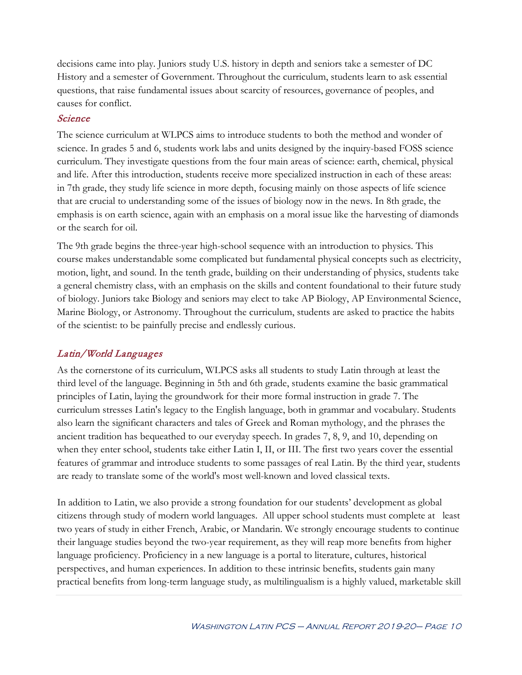decisions came into play. Juniors study U.S. history in depth and seniors take a semester of DC History and a semester of Government. Throughout the curriculum, students learn to ask essential questions, that raise fundamental issues about scarcity of resources, governance of peoples, and causes for conflict.

### Science

The science curriculum at WLPCS aims to introduce students to both the method and wonder of science. In grades 5 and 6, students work labs and units designed by the inquiry-based FOSS science curriculum. They investigate questions from the four main areas of science: earth, chemical, physical and life. After this introduction, students receive more specialized instruction in each of these areas: in 7th grade, they study life science in more depth, focusing mainly on those aspects of life science that are crucial to understanding some of the issues of biology now in the news. In 8th grade, the emphasis is on earth science, again with an emphasis on a moral issue like the harvesting of diamonds or the search for oil.

The 9th grade begins the three-year high-school sequence with an introduction to physics. This course makes understandable some complicated but fundamental physical concepts such as electricity, motion, light, and sound. In the tenth grade, building on their understanding of physics, students take a general chemistry class, with an emphasis on the skills and content foundational to their future study of biology. Juniors take Biology and seniors may elect to take AP Biology, AP Environmental Science, Marine Biology, or Astronomy. Throughout the curriculum, students are asked to practice the habits of the scientist: to be painfully precise and endlessly curious.

## Latin/World Languages

As the cornerstone of its curriculum, WLPCS asks all students to study Latin through at least the third level of the language. Beginning in 5th and 6th grade, students examine the basic grammatical principles of Latin, laying the groundwork for their more formal instruction in grade 7. The curriculum stresses Latin's legacy to the English language, both in grammar and vocabulary. Students also learn the significant characters and tales of Greek and Roman mythology, and the phrases the ancient tradition has bequeathed to our everyday speech. In grades 7, 8, 9, and 10, depending on when they enter school, students take either Latin I, II, or III. The first two years cover the essential features of grammar and introduce students to some passages of real Latin. By the third year, students are ready to translate some of the world's most well-known and loved classical texts.

In addition to Latin, we also provide a strong foundation for our students' development as global citizens through study of modern world languages. All upper school students must complete at least two years of study in either French, Arabic, or Mandarin. We strongly encourage students to continue their language studies beyond the two-year requirement, as they will reap more benefits from higher language proficiency. Proficiency in a new language is a portal to literature, cultures, historical perspectives, and human experiences. In addition to these intrinsic benefits, students gain many practical benefits from long-term language study, as multilingualism is a highly valued, marketable skill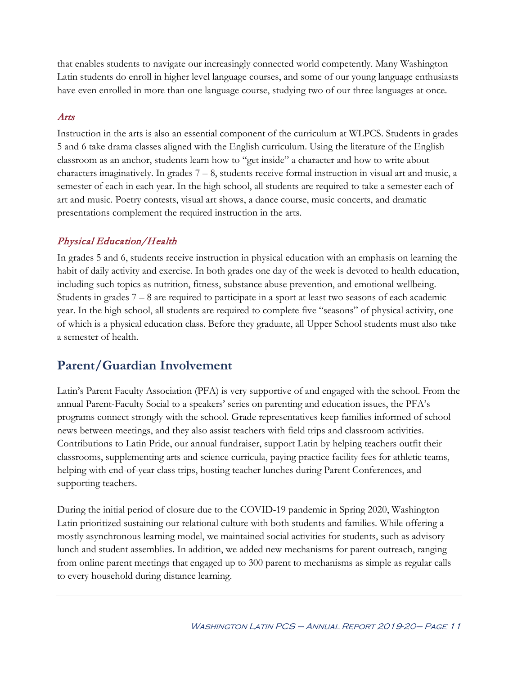that enables students to navigate our increasingly connected world competently. Many Washington Latin students do enroll in higher level language courses, and some of our young language enthusiasts have even enrolled in more than one language course, studying two of our three languages at once.

#### Arts

Instruction in the arts is also an essential component of the curriculum at WLPCS. Students in grades 5 and 6 take drama classes aligned with the English curriculum. Using the literature of the English classroom as an anchor, students learn how to "get inside" a character and how to write about characters imaginatively. In grades  $7 - 8$ , students receive formal instruction in visual art and music, a semester of each in each year. In the high school, all students are required to take a semester each of art and music. Poetry contests, visual art shows, a dance course, music concerts, and dramatic presentations complement the required instruction in the arts.

## Physical Education/Health

In grades 5 and 6, students receive instruction in physical education with an emphasis on learning the habit of daily activity and exercise. In both grades one day of the week is devoted to health education, including such topics as nutrition, fitness, substance abuse prevention, and emotional wellbeing. Students in grades 7 – 8 are required to participate in a sport at least two seasons of each academic year. In the high school, all students are required to complete five "seasons" of physical activity, one of which is a physical education class. Before they graduate, all Upper School students must also take a semester of health.

## **Parent/Guardian Involvement**

Latin's Parent Faculty Association (PFA) is very supportive of and engaged with the school. From the annual Parent-Faculty Social to a speakers' series on parenting and education issues, the PFA's programs connect strongly with the school. Grade representatives keep families informed of school news between meetings, and they also assist teachers with field trips and classroom activities. Contributions to Latin Pride, our annual fundraiser, support Latin by helping teachers outfit their classrooms, supplementing arts and science curricula, paying practice facility fees for athletic teams, helping with end-of-year class trips, hosting teacher lunches during Parent Conferences, and supporting teachers.

During the initial period of closure due to the COVID-19 pandemic in Spring 2020, Washington Latin prioritized sustaining our relational culture with both students and families. While offering a mostly asynchronous learning model, we maintained social activities for students, such as advisory lunch and student assemblies. In addition, we added new mechanisms for parent outreach, ranging from online parent meetings that engaged up to 300 parent to mechanisms as simple as regular calls to every household during distance learning.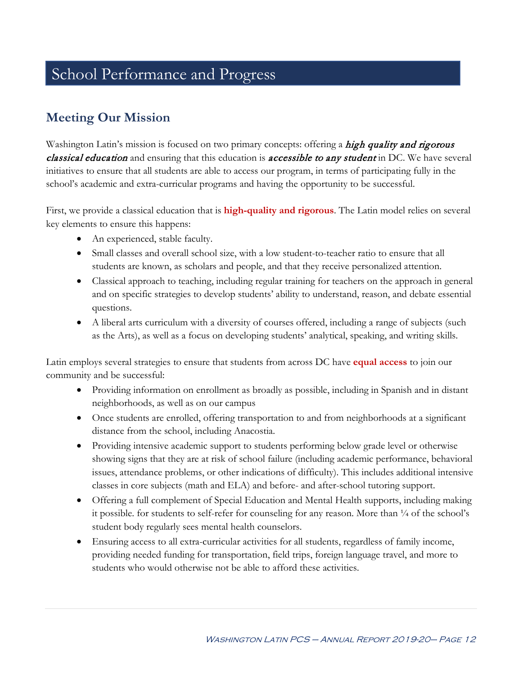## School Performance and Progress

## **Meeting Our Mission**

Washington Latin's mission is focused on two primary concepts: offering a high quality and rigorous classical education and ensuring that this education is accessible to any student in DC. We have several initiatives to ensure that all students are able to access our program, in terms of participating fully in the school's academic and extra-curricular programs and having the opportunity to be successful.

First, we provide a classical education that is **high-quality and rigorous**. The Latin model relies on several key elements to ensure this happens:

- An experienced, stable faculty.
- Small classes and overall school size, with a low student-to-teacher ratio to ensure that all students are known, as scholars and people, and that they receive personalized attention.
- Classical approach to teaching, including regular training for teachers on the approach in general and on specific strategies to develop students' ability to understand, reason, and debate essential questions.
- A liberal arts curriculum with a diversity of courses offered, including a range of subjects (such as the Arts), as well as a focus on developing students' analytical, speaking, and writing skills.

Latin employs several strategies to ensure that students from across DC have **equal access** to join our community and be successful:

- Providing information on enrollment as broadly as possible, including in Spanish and in distant neighborhoods, as well as on our campus
- Once students are enrolled, offering transportation to and from neighborhoods at a significant distance from the school, including Anacostia.
- Providing intensive academic support to students performing below grade level or otherwise showing signs that they are at risk of school failure (including academic performance, behavioral issues, attendance problems, or other indications of difficulty). This includes additional intensive classes in core subjects (math and ELA) and before- and after-school tutoring support.
- Offering a full complement of Special Education and Mental Health supports, including making it possible. for students to self-refer for counseling for any reason. More than  $\frac{1}{4}$  of the school's student body regularly sees mental health counselors.
- Ensuring access to all extra-curricular activities for all students, regardless of family income, providing needed funding for transportation, field trips, foreign language travel, and more to students who would otherwise not be able to afford these activities.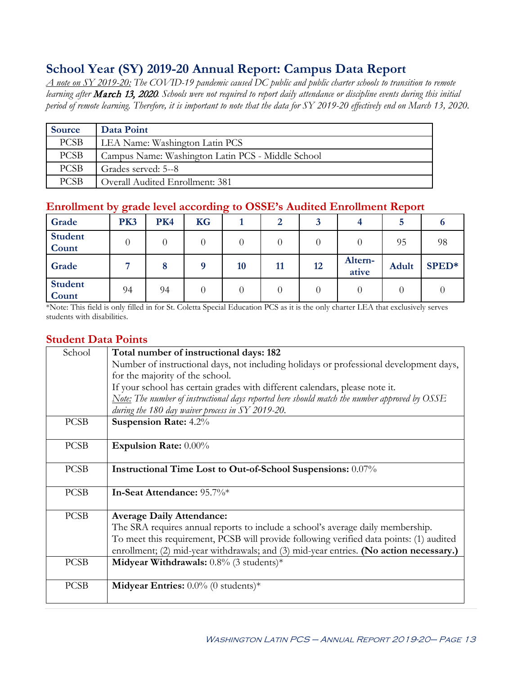## **School Year (SY) 2019-20 Annual Report: Campus Data Report**

*A note on SY 2019-20: The COVID-19 pandemic caused DC public and public charter schools to transition to remote learning after* March 13, 2020*. Schools were not required to report daily attendance or discipline events during this initial period of remote learning. Therefore, it is important to note that the data for SY 2019-20 effectively end on March 13, 2020.*

| Source      | Data Point                                        |
|-------------|---------------------------------------------------|
| <b>PCSB</b> | LEA Name: Washington Latin PCS                    |
| <b>PCSB</b> | Campus Name: Washington Latin PCS - Middle School |
| <b>PCSB</b> | Grades served: 5--8                               |
| <b>PCSB</b> | Overall Audited Enrollment: 381                   |

## **Enrollment by grade level according to OSSE's Audited Enrollment Report**

| Grade                   | PK3 | PK4 | <b>KG</b> |           | 2  |    |                  | Ð     |       |
|-------------------------|-----|-----|-----------|-----------|----|----|------------------|-------|-------|
| <b>Student</b><br>Count |     |     |           |           |    |    |                  | 95    | 98    |
| Grade                   |     |     |           | <b>10</b> | 11 | 12 | Altern-<br>ative | Adult | SPED* |
| <b>Student</b><br>Count | 94  | 94  |           |           |    |    |                  |       |       |

\*Note: This field is only filled in for St. Coletta Special Education PCS as it is the only charter LEA that exclusively serves students with disabilities.

### **Student Data Points**

| School      | Total number of instructional days: 182                                                         |
|-------------|-------------------------------------------------------------------------------------------------|
|             | Number of instructional days, not including holidays or professional development days,          |
|             | for the majority of the school.                                                                 |
|             | If your school has certain grades with different calendars, please note it.                     |
|             | Note: The number of instructional days reported here should match the number approved by $OSSE$ |
|             | during the 180 day waiver process in SY 2019-20.                                                |
| <b>PCSB</b> | <b>Suspension Rate: 4.2%</b>                                                                    |
|             |                                                                                                 |
| <b>PCSB</b> | Expulsion Rate: 0.00%                                                                           |
|             |                                                                                                 |
| <b>PCSB</b> | <b>Instructional Time Lost to Out-of-School Suspensions:</b> 0.07%                              |
|             |                                                                                                 |
| <b>PCSB</b> | In-Seat Attendance: 95.7%*                                                                      |
|             |                                                                                                 |
| <b>PCSB</b> | <b>Average Daily Attendance:</b>                                                                |
|             | The SRA requires annual reports to include a school's average daily membership.                 |
|             | To meet this requirement, PCSB will provide following verified data points: (1) audited         |
|             | enrollment; (2) mid-year withdrawals; and (3) mid-year entries. (No action necessary.)          |
| <b>PCSB</b> | Midyear Withdrawals: $0.8\%$ (3 students)*                                                      |
|             |                                                                                                 |
| <b>PCSB</b> | <b>Midyear Entries:</b> $0.0\%$ (0 students)*                                                   |
|             |                                                                                                 |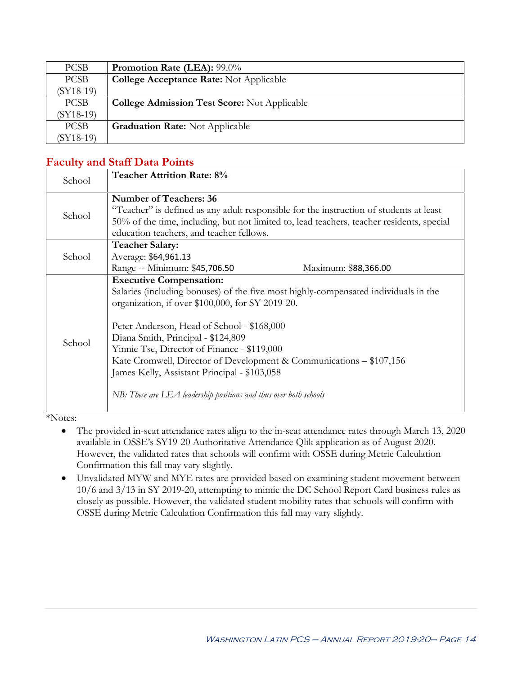| <b>PCSB</b> | <b>Promotion Rate (LEA): 99.0%</b>                  |
|-------------|-----------------------------------------------------|
| <b>PCSB</b> | <b>College Acceptance Rate:</b> Not Applicable      |
| $(SY18-19)$ |                                                     |
| <b>PCSB</b> | <b>College Admission Test Score: Not Applicable</b> |
| $(SY18-19)$ |                                                     |
| <b>PCSB</b> | <b>Graduation Rate:</b> Not Applicable              |
| $(SY18-19)$ |                                                     |

## **Faculty and Staff Data Points**

| School | <b>Teacher Attrition Rate: 8%</b>                                                                                                                                                                                                                                                                                                                                                                                                                                                                        |  |
|--------|----------------------------------------------------------------------------------------------------------------------------------------------------------------------------------------------------------------------------------------------------------------------------------------------------------------------------------------------------------------------------------------------------------------------------------------------------------------------------------------------------------|--|
| School | <b>Number of Teachers: 36</b><br>"Teacher" is defined as any adult responsible for the instruction of students at least<br>50% of the time, including, but not limited to, lead teachers, teacher residents, special<br>education teachers, and teacher fellows.                                                                                                                                                                                                                                         |  |
| School | <b>Teacher Salary:</b><br>Average: \$64,961.13<br>Range -- Minimum: \$45,706.50<br>Maximum: \$88,366.00                                                                                                                                                                                                                                                                                                                                                                                                  |  |
| School | <b>Executive Compensation:</b><br>Salaries (including bonuses) of the five most highly-compensated individuals in the<br>organization, if over \$100,000, for SY 2019-20.<br>Peter Anderson, Head of School - \$168,000<br>Diana Smith, Principal - \$124,809<br>Yinnie Tse, Director of Finance - \$119,000<br>Kate Cromwell, Director of Development & Communications – \$107,156<br>James Kelly, Assistant Principal - \$103,058<br>NB: These are LEA leadership positions and thus over both schools |  |

\*Notes:

- The provided in-seat attendance rates align to the in-seat attendance rates through March 13, 2020 available in OSSE's SY19-20 Authoritative Attendance Qlik application as of August 2020. However, the validated rates that schools will confirm with OSSE during Metric Calculation Confirmation this fall may vary slightly.
- Unvalidated MYW and MYE rates are provided based on examining student movement between 10/6 and 3/13 in SY 2019-20, attempting to mimic the DC School Report Card business rules as closely as possible. However, the validated student mobility rates that schools will confirm with OSSE during Metric Calculation Confirmation this fall may vary slightly.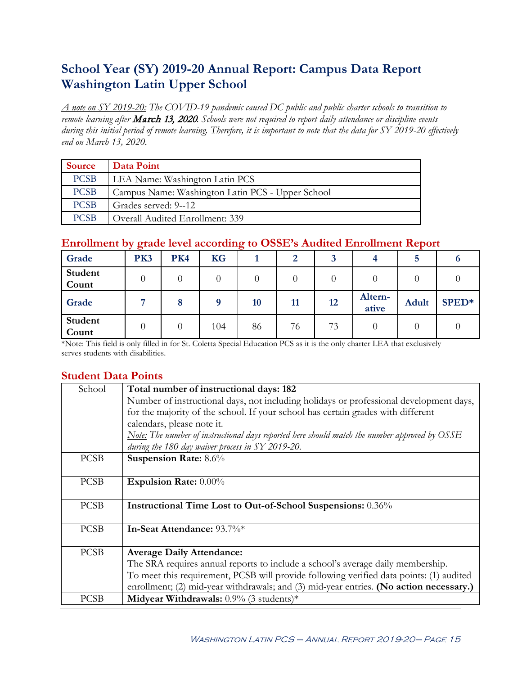## **School Year (SY) 2019-20 Annual Report: Campus Data Report Washington Latin Upper School**

*A note on SY 2019-20: The COVID-19 pandemic caused DC public and public charter schools to transition to remote learning after* March 13, 2020*. Schools were not required to report daily attendance or discipline events during this initial period of remote learning. Therefore, it is important to note that the data for SY 2019-20 effectively end on March 13, 2020.*

| <b>Source</b> | Data Point                                       |
|---------------|--------------------------------------------------|
| <b>PCSB</b>   | LEA Name: Washington Latin PCS                   |
| <b>PCSB</b>   | Campus Name: Washington Latin PCS - Upper School |
| <b>PCSB</b>   | Grades served: 9--12                             |
| <b>PCSB</b>   | Overall Audited Enrollment: 339                  |

## **Enrollment by grade level according to OSSE's Audited Enrollment Report**

| Grade            | PK3      | PK4 | <b>KG</b> |    | $\overline{2}$ |    |                  | D.           |       |
|------------------|----------|-----|-----------|----|----------------|----|------------------|--------------|-------|
| Student<br>Count | $\theta$ |     |           |    |                |    |                  |              |       |
| Grade            |          | 8   |           | 10 | 11             | 12 | Altern-<br>ative | <b>Adult</b> | SPED* |
| Student<br>Count |          |     | 104       | 86 | 76             | 73 |                  |              |       |

\*Note: This field is only filled in for St. Coletta Special Education PCS as it is the only charter LEA that exclusively serves students with disabilities.

## **Student Data Points**

| School      | Total number of instructional days: 182                                                                |
|-------------|--------------------------------------------------------------------------------------------------------|
|             | Number of instructional days, not including holidays or professional development days,                 |
|             | for the majority of the school. If your school has certain grades with different                       |
|             | calendars, please note it.                                                                             |
|             | <u>Note:</u> The number of instructional days reported here should match the number approved by $OSSE$ |
|             | during the 180 day waiver process in SY 2019-20.                                                       |
| <b>PCSB</b> | Suspension Rate: 8.6%                                                                                  |
| <b>PCSB</b> | <b>Expulsion Rate: 0.00%</b>                                                                           |
|             |                                                                                                        |
| <b>PCSB</b> | Instructional Time Lost to Out-of-School Suspensions: 0.36%                                            |
| <b>PCSB</b> | In-Seat Attendance: 93.7%*                                                                             |
|             |                                                                                                        |
| <b>PCSB</b> | <b>Average Daily Attendance:</b>                                                                       |
|             | The SRA requires annual reports to include a school's average daily membership.                        |
|             | To meet this requirement, PCSB will provide following verified data points: (1) audited                |
|             | enrollment; (2) mid-year withdrawals; and (3) mid-year entries. (No action necessary.)                 |
| <b>PCSB</b> | Midyear Withdrawals: $0.9\%$ (3 students)*                                                             |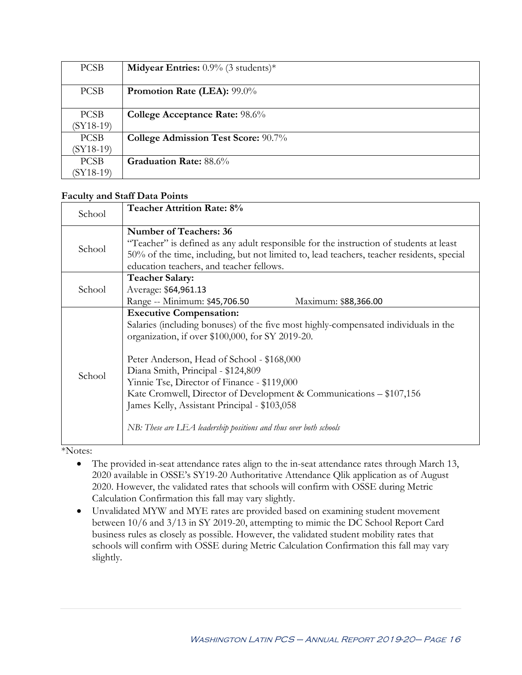| <b>PCSB</b> | <b>Midyear Entries:</b> $0.9\%$ (3 students)* |
|-------------|-----------------------------------------------|
|             |                                               |
| <b>PCSB</b> | Promotion Rate (LEA): 99.0%                   |
|             |                                               |
| <b>PCSB</b> | <b>College Acceptance Rate: 98.6%</b>         |
| $(SY18-19)$ |                                               |
| <b>PCSB</b> | College Admission Test Score: 90.7%           |
| $(SY18-19)$ |                                               |
| <b>PCSB</b> | <b>Graduation Rate:</b> 88.6%                 |
| $(SY18-19)$ |                                               |

#### **Faculty and Staff Data Points**

| School | <b>Teacher Attrition Rate: 8%</b>                                                                                                                                                                                                                                                                                                                                                                                                                                                                        |  |
|--------|----------------------------------------------------------------------------------------------------------------------------------------------------------------------------------------------------------------------------------------------------------------------------------------------------------------------------------------------------------------------------------------------------------------------------------------------------------------------------------------------------------|--|
| School | <b>Number of Teachers: 36</b><br>"Teacher" is defined as any adult responsible for the instruction of students at least<br>50% of the time, including, but not limited to, lead teachers, teacher residents, special<br>education teachers, and teacher fellows.                                                                                                                                                                                                                                         |  |
| School | <b>Teacher Salary:</b><br>Average: \$64,961.13<br>Range -- Minimum: \$45,706.50<br>Maximum: \$88,366.00                                                                                                                                                                                                                                                                                                                                                                                                  |  |
| School | <b>Executive Compensation:</b><br>Salaries (including bonuses) of the five most highly-compensated individuals in the<br>organization, if over \$100,000, for SY 2019-20.<br>Peter Anderson, Head of School - \$168,000<br>Diana Smith, Principal - \$124,809<br>Yinnie Tse, Director of Finance - \$119,000<br>Kate Cromwell, Director of Development & Communications – \$107,156<br>James Kelly, Assistant Principal - \$103,058<br>NB: These are LEA leadership positions and thus over both schools |  |

\*Notes:

- The provided in-seat attendance rates align to the in-seat attendance rates through March 13, 2020 available in OSSE's SY19-20 Authoritative Attendance Qlik application as of August 2020. However, the validated rates that schools will confirm with OSSE during Metric Calculation Confirmation this fall may vary slightly.
- Unvalidated MYW and MYE rates are provided based on examining student movement between 10/6 and 3/13 in SY 2019-20, attempting to mimic the DC School Report Card business rules as closely as possible. However, the validated student mobility rates that schools will confirm with OSSE during Metric Calculation Confirmation this fall may vary slightly.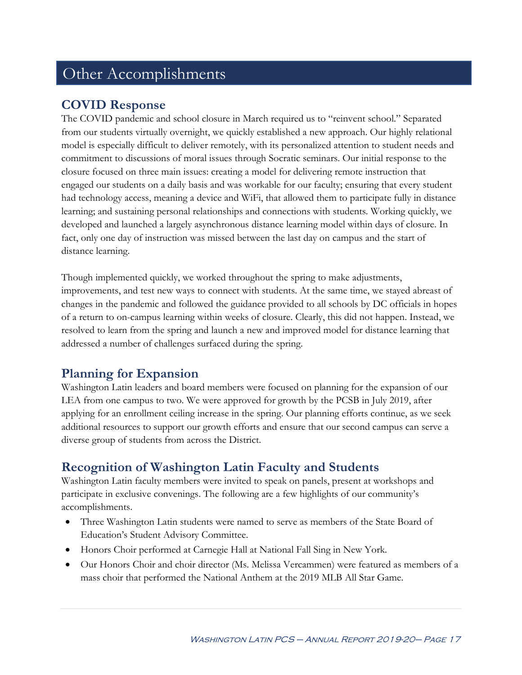## Other Accomplishments

## **COVID Response**

The COVID pandemic and school closure in March required us to "reinvent school." Separated from our students virtually overnight, we quickly established a new approach. Our highly relational model is especially difficult to deliver remotely, with its personalized attention to student needs and commitment to discussions of moral issues through Socratic seminars. Our initial response to the closure focused on three main issues: creating a model for delivering remote instruction that engaged our students on a daily basis and was workable for our faculty; ensuring that every student had technology access, meaning a device and WiFi, that allowed them to participate fully in distance learning; and sustaining personal relationships and connections with students. Working quickly, we developed and launched a largely asynchronous distance learning model within days of closure. In fact, only one day of instruction was missed between the last day on campus and the start of distance learning.

Though implemented quickly, we worked throughout the spring to make adjustments, improvements, and test new ways to connect with students. At the same time, we stayed abreast of changes in the pandemic and followed the guidance provided to all schools by DC officials in hopes of a return to on-campus learning within weeks of closure. Clearly, this did not happen. Instead, we resolved to learn from the spring and launch a new and improved model for distance learning that addressed a number of challenges surfaced during the spring.

## **Planning for Expansion**

Washington Latin leaders and board members were focused on planning for the expansion of our LEA from one campus to two. We were approved for growth by the PCSB in July 2019, after applying for an enrollment ceiling increase in the spring. Our planning efforts continue, as we seek additional resources to support our growth efforts and ensure that our second campus can serve a diverse group of students from across the District.

## **Recognition of Washington Latin Faculty and Students**

Washington Latin faculty members were invited to speak on panels, present at workshops and participate in exclusive convenings. The following are a few highlights of our community's accomplishments.

- Three Washington Latin students were named to serve as members of the State Board of Education's Student Advisory Committee.
- Honors Choir performed at Carnegie Hall at National Fall Sing in New York.
- Our Honors Choir and choir director (Ms. Melissa Vercammen) were featured as members of a mass choir that performed the National Anthem at the 2019 MLB All Star Game.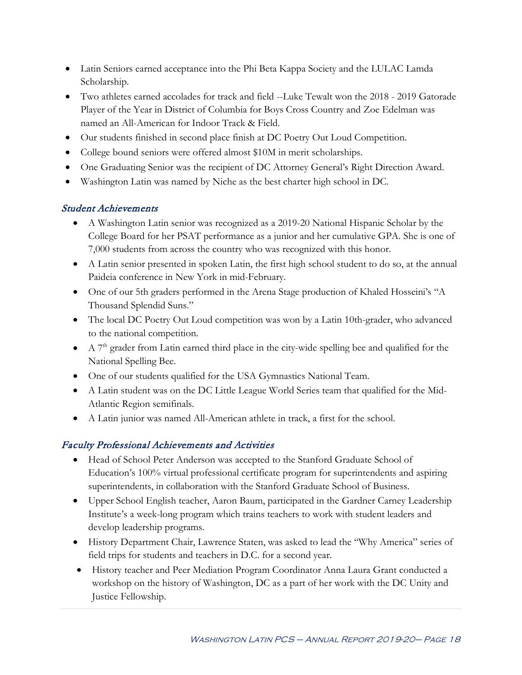- Latin Seniors earned acceptance into the Phi Beta Kappa Society and the LULAC Lamda Scholarship.
- Two athletes earned accolades for track and field --Luke Tewalt won the 2018 2019 Gatorade Player of the Year in District of Columbia for Boys Cross Country and Zoe Edelman was named an All-American for Indoor Track & Field.
- Our students finished in second place finish at DC Poetry Out Loud Competition.
- College bound seniors were offered almost \$10M in merit scholarships.
- One Graduating Senior was the recipient of DC Attorney General's Right Direction Award.
- Washington Latin was named by Niche as the best charter high school in DC.

### Student Achievements

- A Washington Latin senior was recognized as a 2019-20 National Hispanic Scholar by the College Board for her PSAT performance as a junior and her cumulative GPA. She is one of 7,000 students from across the country who was recognized with this honor.
- A Latin senior presented in spoken Latin, the first high school student to do so, at the annual Paideia conference in New York in mid-February.
- One of our 5th graders performed in the Arena Stage production of Khaled Hosseini's "A Thousand Splendid Suns."
- The local DC Poetry Out Loud competition was won by a Latin 10th-grader, who advanced to the national competition.
- $\bullet$  A  $7<sup>th</sup>$  grader from Latin earned third place in the city-wide spelling bee and qualified for the National Spelling Bee.
- One of our students qualified for the USA Gymnastics National Team.
- A Latin student was on the DC Little League World Series team that qualified for the Mid-Atlantic Region semifinals.
- A Latin junior was named All-American athlete in track, a first for the school.

## Faculty Professional Achievements and Activities

- Head of School Peter Anderson was accepted to the Stanford Graduate School of Education's 100% virtual professional certificate program for superintendents and aspiring superintendents, in collaboration with the Stanford Graduate School of Business.
- Upper School English teacher, Aaron Baum, participated in the Gardner Carney Leadership Institute's a week-long program which trains teachers to work with student leaders and develop leadership programs.
- History Department Chair, Lawrence Staten, was asked to lead the "Why America" series of field trips for students and teachers in D.C. for a second year.
- History teacher and Peer Mediation Program Coordinator Anna Laura Grant conducted a workshop on the history of Washington, DC as a part of her work with the DC Unity and Justice Fellowship.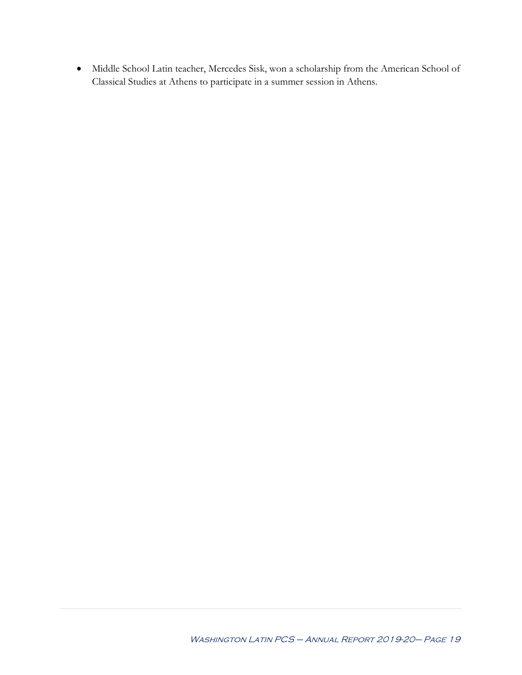• Middle School Latin teacher, Mercedes Sisk, won a scholarship from the American School of Classical Studies at Athens to participate in a summer session in Athens.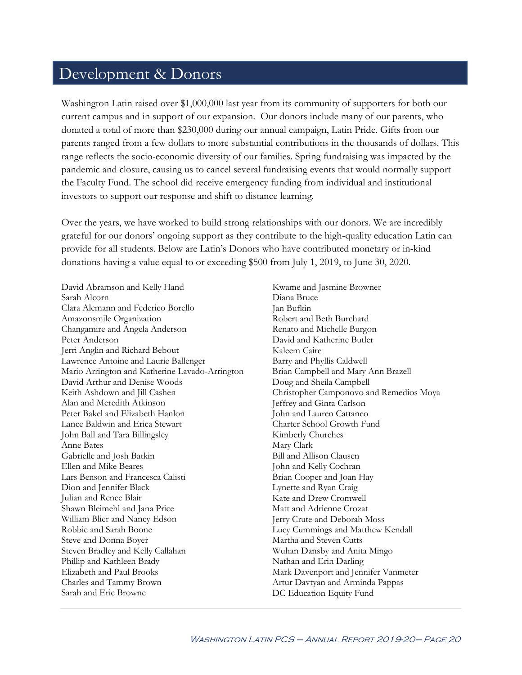## Development & Donors

Washington Latin raised over \$1,000,000 last year from its community of supporters for both our current campus and in support of our expansion. Our donors include many of our parents, who donated a total of more than \$230,000 during our annual campaign, Latin Pride. Gifts from our parents ranged from a few dollars to more substantial contributions in the thousands of dollars. This range reflects the socio-economic diversity of our families. Spring fundraising was impacted by the pandemic and closure, causing us to cancel several fundraising events that would normally support the Faculty Fund. The school did receive emergency funding from individual and institutional investors to support our response and shift to distance learning.

Over the years, we have worked to build strong relationships with our donors. We are incredibly grateful for our donors' ongoing support as they contribute to the high-quality education Latin can provide for all students. Below are Latin's Donors who have contributed monetary or in-kind donations having a value equal to or exceeding \$500 from July 1, 2019, to June 30, 2020.

David Abramson and Kelly Hand Sarah Alcorn Clara Alemann and Federico Borello Amazonsmile Organization Changamire and Angela Anderson Peter Anderson Jerri Anglin and Richard Bebout Lawrence Antoine and Laurie Ballenger Mario Arrington and Katherine Lavado-Arrington David Arthur and Denise Woods Keith Ashdown and Jill Cashen Alan and Meredith Atkinson Peter Bakel and Elizabeth Hanlon Lance Baldwin and Erica Stewart John Ball and Tara Billingsley Anne Bates Gabrielle and Josh Batkin Ellen and Mike Beares Lars Benson and Francesca Calisti Dion and Jennifer Black Julian and Renee Blair Shawn Bleimehl and Jana Price William Blier and Nancy Edson Robbie and Sarah Boone Steve and Donna Boyer Steven Bradley and Kelly Callahan Phillip and Kathleen Brady Elizabeth and Paul Brooks Charles and Tammy Brown Sarah and Eric Browne

Kwame and Jasmine Browner Diana Bruce Jan Bufkin Robert and Beth Burchard Renato and Michelle Burgon David and Katherine Butler Kaleem Caire Barry and Phyllis Caldwell Brian Campbell and Mary Ann Brazell Doug and Sheila Campbell Christopher Camponovo and Remedios Moya Jeffrey and Ginta Carlson John and Lauren Cattaneo Charter School Growth Fund Kimberly Churches Mary Clark Bill and Allison Clausen John and Kelly Cochran Brian Cooper and Joan Hay Lynette and Ryan Craig Kate and Drew Cromwell Matt and Adrienne Crozat Jerry Crute and Deborah Moss Lucy Cummings and Matthew Kendall Martha and Steven Cutts Wuhan Dansby and Anita Mingo Nathan and Erin Darling Mark Davenport and Jennifer Vanmeter Artur Davtyan and Arminda Pappas DC Education Equity Fund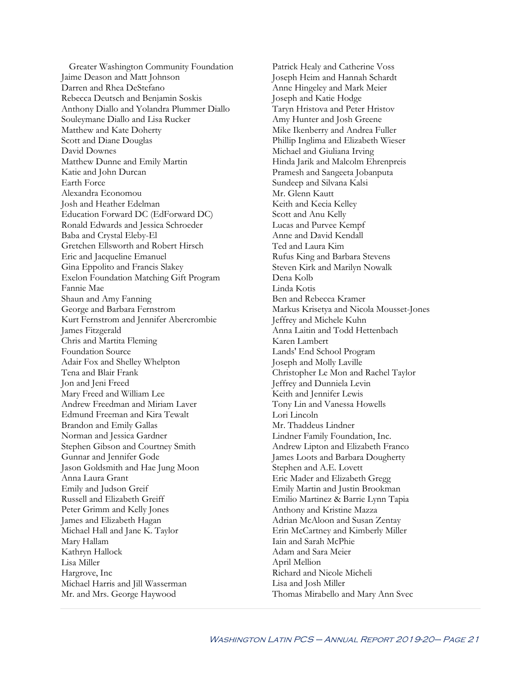Greater Washington Community Foundation Jaime Deason and Matt Johnson Darren and Rhea DeStefano Rebecca Deutsch and Benjamin Soskis Anthony Diallo and Yolandra Plummer Diallo Souleymane Diallo and Lisa Rucker Matthew and Kate Doherty Scott and Diane Douglas David Downes Matthew Dunne and Emily Martin Katie and John Durcan Earth Force Alexandra Economou Josh and Heather Edelman Education Forward DC (EdForward DC) Ronald Edwards and Jessica Schroeder Baba and Crystal Eleby-El Gretchen Ellsworth and Robert Hirsch Eric and Jacqueline Emanuel Gina Eppolito and Francis Slakey Exelon Foundation Matching Gift Program Fannie Mae Shaun and Amy Fanning George and Barbara Fernstrom Kurt Fernstrom and Jennifer Abercrombie James Fitzgerald Chris and Martita Fleming Foundation Source Adair Fox and Shelley Whelpton Tena and Blair Frank Jon and Jeni Freed Mary Freed and William Lee Andrew Freedman and Miriam Laver Edmund Freeman and Kira Tewalt Brandon and Emily Gallas Norman and Jessica Gardner Stephen Gibson and Courtney Smith Gunnar and Jennifer Gode Jason Goldsmith and Hae Jung Moon Anna Laura Grant Emily and Judson Greif Russell and Elizabeth Greiff Peter Grimm and Kelly Jones James and Elizabeth Hagan Michael Hall and Jane K. Taylor Mary Hallam Kathryn Hallock Lisa Miller Hargrove, Inc Michael Harris and Jill Wasserman Mr. and Mrs. George Haywood

Patrick Healy and Catherine Voss Joseph Heim and Hannah Schardt Anne Hingeley and Mark Meier Joseph and Katie Hodge Taryn Hristova and Peter Hristov Amy Hunter and Josh Greene Mike Ikenberry and Andrea Fuller Phillip Inglima and Elizabeth Wieser Michael and Giuliana Irving Hinda Jarik and Malcolm Ehrenpreis Pramesh and Sangeeta Jobanputa Sundeep and Silvana Kalsi Mr. Glenn Kautt Keith and Kecia Kelley Scott and Anu Kelly Lucas and Purvee Kempf Anne and David Kendall Ted and Laura Kim Rufus King and Barbara Stevens Steven Kirk and Marilyn Nowalk Dena Kolb Linda Kotis Ben and Rebecca Kramer Markus Krisetya and Nicola Mousset-Jones Jeffrey and Michele Kuhn Anna Laitin and Todd Hettenbach Karen Lambert Lands' End School Program Joseph and Molly Laville Christopher Le Mon and Rachel Taylor Jeffrey and Dunniela Levin Keith and Jennifer Lewis Tony Lin and Vanessa Howells Lori Lincoln Mr. Thaddeus Lindner Lindner Family Foundation, Inc. Andrew Lipton and Elizabeth Franco James Loots and Barbara Dougherty Stephen and A.E. Lovett Eric Mader and Elizabeth Gregg Emily Martin and Justin Brookman Emilio Martinez & Barrie Lynn Tapia Anthony and Kristine Mazza Adrian McAloon and Susan Zentay Erin McCartney and Kimberly Miller Iain and Sarah McPhie Adam and Sara Meier April Mellion Richard and Nicole Micheli Lisa and Josh Miller Thomas Mirabello and Mary Ann Svec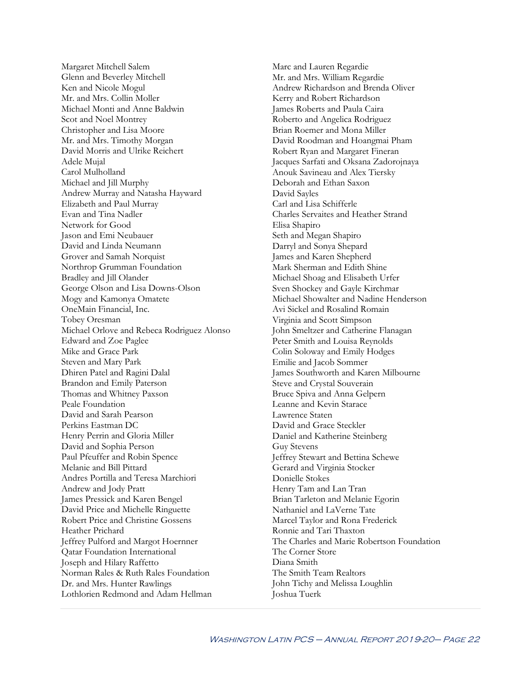Margaret Mitchell Salem Glenn and Beverley Mitchell Ken and Nicole Mogul Mr. and Mrs. Collin Moller Michael Monti and Anne Baldwin Scot and Noel Montrey Christopher and Lisa Moore Mr. and Mrs. Timothy Morgan David Morris and Ulrike Reichert Adele Mujal Carol Mulholland Michael and Jill Murphy Andrew Murray and Natasha Hayward Elizabeth and Paul Murray Evan and Tina Nadler Network for Good Jason and Emi Neubauer David and Linda Neumann Grover and Samah Norquist Northrop Grumman Foundation Bradley and Jill Olander George Olson and Lisa Downs-Olson Mogy and Kamonya Omatete OneMain Financial, Inc. Tobey Oresman Michael Orlove and Rebeca Rodriguez Alonso Edward and Zoe Paglee Mike and Grace Park Steven and Mary Park Dhiren Patel and Ragini Dalal Brandon and Emily Paterson Thomas and Whitney Paxson Peale Foundation David and Sarah Pearson Perkins Eastman DC Henry Perrin and Gloria Miller David and Sophia Person Paul Pfeuffer and Robin Spence Melanie and Bill Pittard Andres Portilla and Teresa Marchiori Andrew and Jody Pratt James Pressick and Karen Bengel David Price and Michelle Ringuette Robert Price and Christine Gossens Heather Prichard Jeffrey Pulford and Margot Hoernner Qatar Foundation International Joseph and Hilary Raffetto Norman Rales & Ruth Rales Foundation Dr. and Mrs. Hunter Rawlings Lothlorien Redmond and Adam Hellman

Marc and Lauren Regardie Mr. and Mrs. William Regardie Andrew Richardson and Brenda Oliver Kerry and Robert Richardson James Roberts and Paula Caira Roberto and Angelica Rodriguez Brian Roemer and Mona Miller David Roodman and Hoangmai Pham Robert Ryan and Margaret Fineran Jacques Sarfati and Oksana Zadorojnaya Anouk Savineau and Alex Tiersky Deborah and Ethan Saxon David Sayles Carl and Lisa Schifferle Charles Servaites and Heather Strand Elisa Shapiro Seth and Megan Shapiro Darryl and Sonya Shepard James and Karen Shepherd Mark Sherman and Edith Shine Michael Shoag and Elisabeth Urfer Sven Shockey and Gayle Kirchmar Michael Showalter and Nadine Henderson Avi Sickel and Rosalind Romain Virginia and Scott Simpson John Smeltzer and Catherine Flanagan Peter Smith and Louisa Reynolds Colin Soloway and Emily Hodges Emilie and Jacob Sommer James Southworth and Karen Milbourne Steve and Crystal Souverain Bruce Spiva and Anna Gelpern Leanne and Kevin Starace Lawrence Staten David and Grace Steckler Daniel and Katherine Steinberg Guy Stevens Jeffrey Stewart and Bettina Schewe Gerard and Virginia Stocker Donielle Stokes Henry Tam and Lan Tran Brian Tarleton and Melanie Egorin Nathaniel and LaVerne Tate Marcel Taylor and Rona Frederick Ronnie and Tari Thaxton The Charles and Marie Robertson Foundation The Corner Store Diana Smith The Smith Team Realtors John Tichy and Melissa Loughlin Joshua Tuerk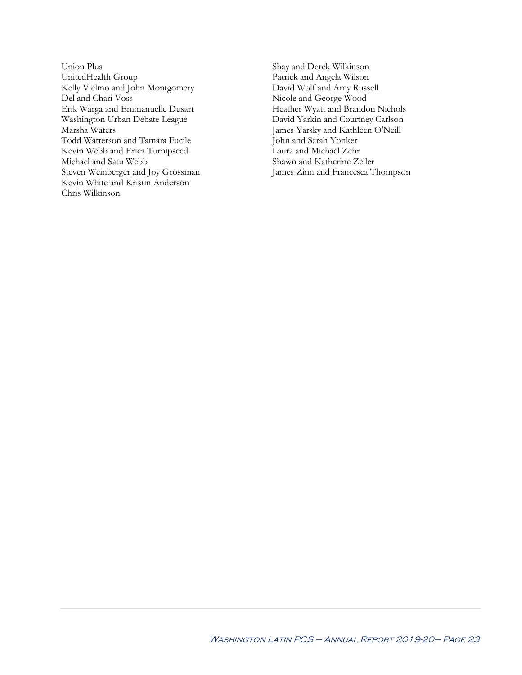- Union Plus UnitedHealth Group Kelly Vielmo and John Montgomery Del and Chari Voss Erik Warga and Emmanuelle Dusart Washington Urban Debate League Marsha Waters Todd Watterson and Tamara Fucile Kevin Webb and Erica Turnipseed Michael and Satu Webb Steven Weinberger and Joy Grossman Kevin White and Kristin Anderson Chris Wilkinson
- Shay and Derek Wilkinson Patrick and Angela Wilson David Wolf and Amy Russell Nicole and George Wood Heather Wyatt and Brandon Nichols David Yarkin and Courtney Carlson James Yarsky and Kathleen O'Neill John and Sarah Yonker Laura and Michael Zehr Shawn and Katherine Zeller James Zinn and Francesca Thompson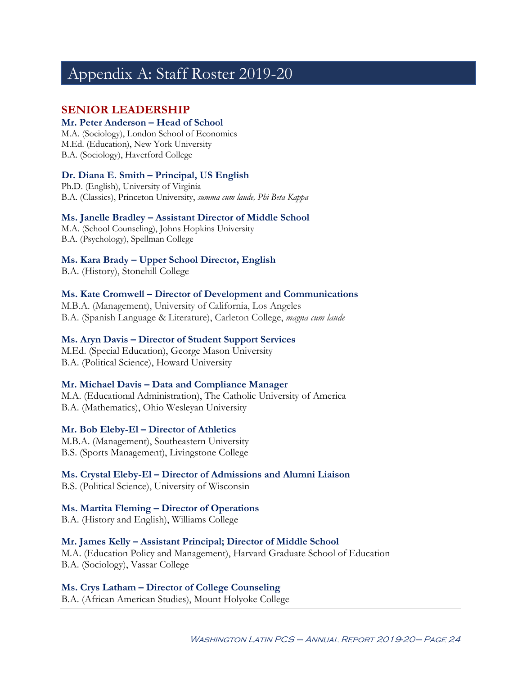## Appendix A: Staff Roster 2019-20

### **SENIOR LEADERSHIP**

#### **Mr. Peter Anderson – Head of School**

M.A. (Sociology), London School of Economics M.Ed. (Education), New York University B.A. (Sociology), Haverford College

#### **Dr. Diana E. Smith – Principal, US English**

Ph.D. (English), University of Virginia B.A. (Classics), Princeton University, *summa cum laude, Phi Beta Kappa*

#### **Ms. Janelle Bradley – Assistant Director of Middle School**

M.A. (School Counseling), Johns Hopkins University B.A. (Psychology), Spellman College

#### **Ms. Kara Brady – Upper School Director, English**

B.A. (History), Stonehill College

#### **Ms. Kate Cromwell – Director of Development and Communications**

M.B.A. (Management), University of California, Los Angeles B.A. (Spanish Language & Literature), Carleton College, *magna cum laude*

#### **Ms. Aryn Davis – Director of Student Support Services**

M.Ed. (Special Education), George Mason University B.A. (Political Science), Howard University

#### **Mr. Michael Davis – Data and Compliance Manager**

M.A. (Educational Administration), The Catholic University of America B.A. (Mathematics), Ohio Wesleyan University

#### **Mr. Bob Eleby-El – Director of Athletics**

M.B.A. (Management), Southeastern University B.S. (Sports Management), Livingstone College

#### **Ms. Crystal Eleby-El – Director of Admissions and Alumni Liaison**

B.S. (Political Science), University of Wisconsin

#### **Ms. Martita Fleming – Director of Operations**

B.A. (History and English), Williams College

#### **Mr. James Kelly – Assistant Principal; Director of Middle School**

M.A. (Education Policy and Management), Harvard Graduate School of Education B.A. (Sociology), Vassar College

#### **Ms. Crys Latham – Director of College Counseling**

B.A. (African American Studies), Mount Holyoke College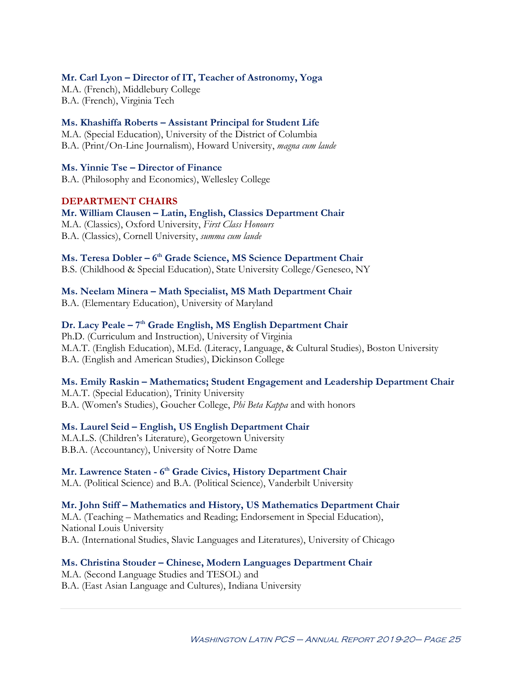#### **Mr. Carl Lyon – Director of IT, Teacher of Astronomy, Yoga**

M.A. (French), Middlebury College B.A. (French), Virginia Tech

#### **Ms. Khashiffa Roberts – Assistant Principal for Student Life**

M.A. (Special Education), University of the District of Columbia B.A. (Print/On-Line Journalism), Howard University, *magna cum laude*

#### **Ms. Yinnie Tse – Director of Finance**

B.A. (Philosophy and Economics), Wellesley College

#### **DEPARTMENT CHAIRS**

**Mr. William Clausen – Latin, English, Classics Department Chair** M.A. (Classics), Oxford University, *First Class Honours* B.A. (Classics), Cornell University, *summa cum laude*

#### **Ms. Teresa Dobler – 6th Grade Science, MS Science Department Chair**

B.S. (Childhood & Special Education), State University College/Geneseo, NY

#### **Ms. Neelam Minera – Math Specialist, MS Math Department Chair**

B.A. (Elementary Education), University of Maryland

#### **Dr. Lacy Peale – 7th Grade English, MS English Department Chair**

Ph.D. (Curriculum and Instruction), University of Virginia M.A.T. (English Education), M.Ed. (Literacy, Language, & Cultural Studies), Boston University B.A. (English and American Studies), Dickinson College

#### **Ms. Emily Raskin – Mathematics; Student Engagement and Leadership Department Chair**

M.A.T. (Special Education), Trinity University B.A. (Women's Studies), Goucher College, *Phi Beta Kappa* and with honors

#### **Ms. Laurel Seid – English, US English Department Chair**

M.A.L.S. (Children's Literature), Georgetown University B.B.A. (Accountancy), University of Notre Dame

### **Mr. Lawrence Staten - 6th Grade Civics, History Department Chair**

M.A. (Political Science) and B.A. (Political Science), Vanderbilt University

#### **Mr. John Stiff – Mathematics and History, US Mathematics Department Chair**

M.A. (Teaching – Mathematics and Reading; Endorsement in Special Education), National Louis University B.A. (International Studies, Slavic Languages and Literatures), University of Chicago

#### **Ms. Christina Stouder – Chinese, Modern Languages Department Chair**

M.A. (Second Language Studies and TESOL) and B.A. (East Asian Language and Cultures), Indiana University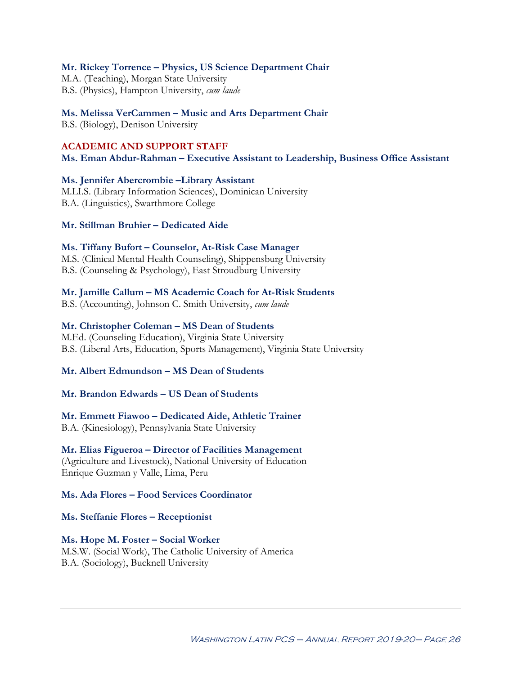#### **Mr. Rickey Torrence – Physics, US Science Department Chair**

M.A. (Teaching), Morgan State University B.S. (Physics), Hampton University, *cum laude*

#### **Ms. Melissa VerCammen – Music and Arts Department Chair**

B.S. (Biology), Denison University

#### **ACADEMIC AND SUPPORT STAFF**

**Ms. Eman Abdur-Rahman – Executive Assistant to Leadership, Business Office Assistant**

#### **Ms. Jennifer Abercrombie –Library Assistant**

M.LI.S. (Library Information Sciences), Dominican University B.A. (Linguistics), Swarthmore College

#### **Mr. Stillman Bruhier – Dedicated Aide**

#### **Ms. Tiffany Bufort – Counselor, At-Risk Case Manager**

M.S. (Clinical Mental Health Counseling), Shippensburg University B.S. (Counseling & Psychology), East Stroudburg University

#### **Mr. Jamille Callum – MS Academic Coach for At-Risk Students**

B.S. (Accounting), Johnson C. Smith University, *cum laude*

#### **Mr. Christopher Coleman – MS Dean of Students**

M.Ed. (Counseling Education), Virginia State University B.S. (Liberal Arts, Education, Sports Management), Virginia State University

#### **Mr. Albert Edmundson – MS Dean of Students**

#### **Mr. Brandon Edwards – US Dean of Students**

**Mr. Emmett Fiawoo – Dedicated Aide, Athletic Trainer**

B.A. (Kinesiology), Pennsylvania State University

#### **Mr. Elias Figueroa – Director of Facilities Management**

(Agriculture and Livestock), National University of Education Enrique Guzman y Valle, Lima, Peru

#### **Ms. Ada Flores – Food Services Coordinator**

**Ms. Steffanie Flores – Receptionist**

#### **Ms. Hope M. Foster – Social Worker**

M.S.W. (Social Work), The Catholic University of America B.A. (Sociology), Bucknell University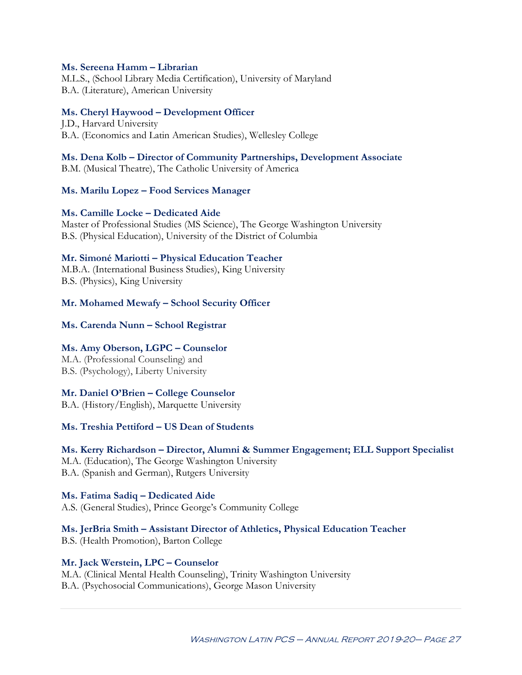#### **Ms. Sereena Hamm – Librarian**

M.L.S., (School Library Media Certification), University of Maryland B.A. (Literature), American University

#### **Ms. Cheryl Haywood – Development Officer**

J.D., Harvard University B.A. (Economics and Latin American Studies), Wellesley College

#### **Ms. Dena Kolb – Director of Community Partnerships, Development Associate**

B.M. (Musical Theatre), The Catholic University of America

#### **Ms. Marilu Lopez – Food Services Manager**

#### **Ms. Camille Locke – Dedicated Aide**

Master of Professional Studies (MS Science), The George Washington University B.S. (Physical Education), University of the District of Columbia

#### **Mr. Simoné Mariotti – Physical Education Teacher**

M.B.A. (International Business Studies), King University B.S. (Physics), King University

#### **Mr. Mohamed Mewafy – School Security Officer**

#### **Ms. Carenda Nunn – School Registrar**

#### **Ms. Amy Oberson, LGPC – Counselor**

M.A. (Professional Counseling) and B.S. (Psychology), Liberty University

#### **Mr. Daniel O'Brien – College Counselor**

B.A. (History/English), Marquette University

**Ms. Treshia Pettiford – US Dean of Students**

#### **Ms. Kerry Richardson – Director, Alumni & Summer Engagement; ELL Support Specialist**

M.A. (Education), The George Washington University B.A. (Spanish and German), Rutgers University

**Ms. Fatima Sadiq – Dedicated Aide** A.S. (General Studies), Prince George's Community College

**Ms. JerBria Smith – Assistant Director of Athletics, Physical Education Teacher**

B.S. (Health Promotion), Barton College

#### **Mr. Jack Werstein, LPC – Counselor**

M.A. (Clinical Mental Health Counseling), Trinity Washington University B.A. (Psychosocial Communications), George Mason University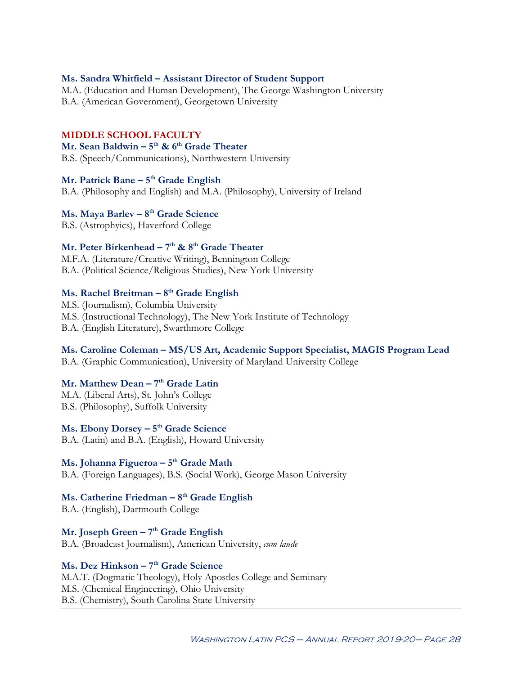#### **Ms. Sandra Whitfield – Assistant Director of Student Support**

M.A. (Education and Human Development), The George Washington University B.A. (American Government), Georgetown University

#### **MIDDLE SCHOOL FACULTY**

### **Mr. Sean Baldwin – 5th & 6th Grade Theater**

B.S. (Speech/Communications), Northwestern University

#### **Mr. Patrick Bane – 5th Grade English**

B.A. (Philosophy and English) and M.A. (Philosophy), University of Ireland

#### **Ms. Maya Barlev – 8th Grade Science**

B.S. (Astrophyics), Haverford College

#### **Mr. Peter Birkenhead – 7th & 8th Grade Theater**

M.F.A. (Literature/Creative Writing), Bennington College B.A. (Political Science/Religious Studies), New York University

#### **Ms. Rachel Breitman – 8th Grade English**

M.S. (Journalism), Columbia University M.S. (Instructional Technology), The New York Institute of Technology B.A. (English Literature), Swarthmore College

#### **Ms. Caroline Coleman – MS/US Art, Academic Support Specialist, MAGIS Program Lead**

B.A. (Graphic Communication), University of Maryland University College

#### **Mr. Matthew Dean – 7th Grade Latin**

M.A. (Liberal Arts), St. John's College B.S. (Philosophy), Suffolk University

### **Ms. Ebony Dorsey – 5th Grade Science**

B.A. (Latin) and B.A. (English), Howard University

#### **Ms. Johanna Figueroa – 5th Grade Math**

B.A. (Foreign Languages), B.S. (Social Work), George Mason University

### **Ms. Catherine Friedman – 8th Grade English**

B.A. (English), Dartmouth College

## **Mr. Joseph Green – 7th Grade English**

B.A. (Broadcast Journalism), American University, *cum laude*

### **Ms. Dez Hinkson – 7th Grade Science**

M.A.T. (Dogmatic Theology), Holy Apostles College and Seminary M.S. (Chemical Engineering), Ohio University B.S. (Chemistry), South Carolina State University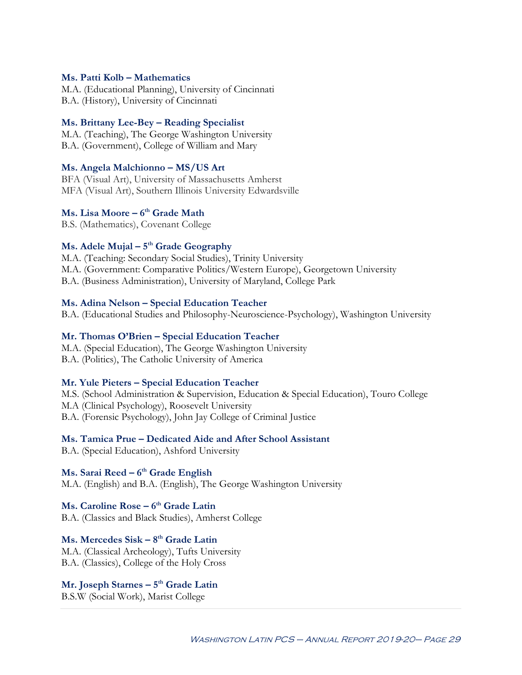#### **Ms. Patti Kolb – Mathematics**

M.A. (Educational Planning), University of Cincinnati B.A. (History), University of Cincinnati

#### **Ms. Brittany Lee-Bey – Reading Specialist**

M.A. (Teaching), The George Washington University B.A. (Government), College of William and Mary

#### **Ms. Angela Malchionno – MS/US Art**

BFA (Visual Art), University of Massachusetts Amherst MFA (Visual Art), Southern Illinois University Edwardsville

### **Ms. Lisa Moore – 6th Grade Math**

B.S. (Mathematics), Covenant College

### **Ms. Adele Mujal – 5th Grade Geography**

M.A. (Teaching: Secondary Social Studies), Trinity University M.A. (Government: Comparative Politics/Western Europe), Georgetown University B.A. (Business Administration), University of Maryland, College Park

#### **Ms. Adina Nelson – Special Education Teacher**

B.A. (Educational Studies and Philosophy-Neuroscience-Psychology), Washington University

#### **Mr. Thomas O'Brien – Special Education Teacher**

M.A. (Special Education), The George Washington University B.A. (Politics), The Catholic University of America

#### **Mr. Yule Pieters – Special Education Teacher**

M.S. (School Administration & Supervision, Education & Special Education), Touro College M.A (Clinical Psychology), Roosevelt University B.A. (Forensic Psychology), John Jay College of Criminal Justice

#### **Ms. Tamica Prue – Dedicated Aide and After School Assistant**

B.A. (Special Education), Ashford University

### **Ms. Sarai Reed – 6th Grade English**

M.A. (English) and B.A. (English), The George Washington University

### **Ms. Caroline Rose – 6th Grade Latin**

B.A. (Classics and Black Studies), Amherst College

### **Ms. Mercedes Sisk – 8th Grade Latin**

M.A. (Classical Archeology), Tufts University B.A. (Classics), College of the Holy Cross

#### **Mr. Joseph Starnes – 5th Grade Latin**

B.S.W (Social Work), Marist College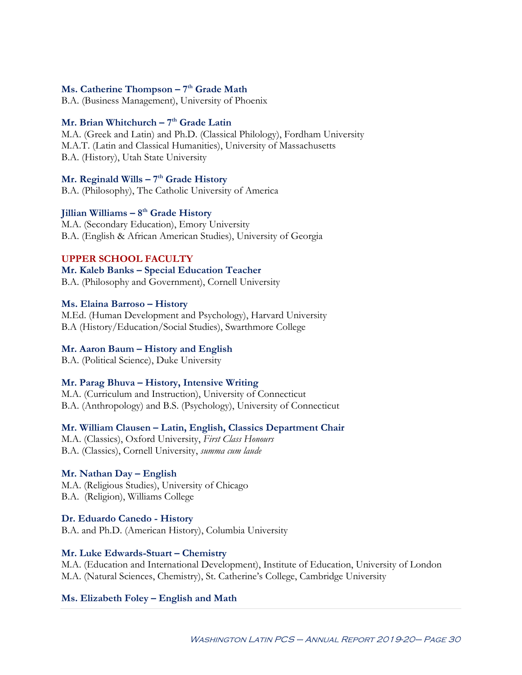#### **Ms. Catherine Thompson – 7th Grade Math**

B.A. (Business Management), University of Phoenix

### **Mr. Brian Whitchurch – 7th Grade Latin**

M.A. (Greek and Latin) and Ph.D. (Classical Philology), Fordham University M.A.T. (Latin and Classical Humanities), University of Massachusetts B.A. (History), Utah State University

## **Mr. Reginald Wills – 7th Grade History**

B.A. (Philosophy), The Catholic University of America

## **Jillian Williams – 8th Grade History**

M.A. (Secondary Education), Emory University B.A. (English & African American Studies), University of Georgia

### **UPPER SCHOOL FACULTY**

**Mr. Kaleb Banks – Special Education Teacher** B.A. (Philosophy and Government), Cornell University

### **Ms. Elaina Barroso – History**

M.Ed. (Human Development and Psychology), Harvard University B.A (History/Education/Social Studies), Swarthmore College

## **Mr. Aaron Baum – History and English**

B.A. (Political Science), Duke University

## **Mr. Parag Bhuva – History, Intensive Writing**

M.A. (Curriculum and Instruction), University of Connecticut B.A. (Anthropology) and B.S. (Psychology), University of Connecticut

## **Mr. William Clausen – Latin, English, Classics Department Chair**

M.A. (Classics), Oxford University, *First Class Honours* B.A. (Classics), Cornell University, *summa cum laude*

## **Mr. Nathan Day – English**

M.A. (Religious Studies), University of Chicago B.A. (Religion), Williams College

**Dr. Eduardo Canedo - History** B.A. and Ph.D. (American History), Columbia University

## **Mr. Luke Edwards-Stuart – Chemistry**

M.A. (Education and International Development), Institute of Education, University of London M.A. (Natural Sciences, Chemistry), St. Catherine's College, Cambridge University

## **Ms. Elizabeth Foley – English and Math**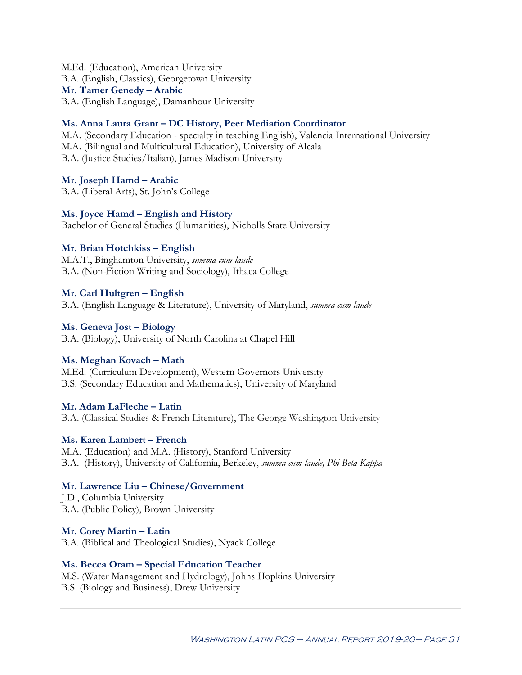M.Ed. (Education), American University B.A. (English, Classics), Georgetown University **Mr. Tamer Genedy – Arabic** B.A. (English Language), Damanhour University

#### **Ms. Anna Laura Grant – DC History, Peer Mediation Coordinator**

M.A. (Secondary Education - specialty in teaching English), Valencia International University M.A. (Bilingual and Multicultural Education), University of Alcala B.A. (Justice Studies/Italian), James Madison University

#### **Mr. Joseph Hamd – Arabic**

B.A. (Liberal Arts), St. John's College

#### **Ms. Joyce Hamd – English and History**

Bachelor of General Studies (Humanities), Nicholls State University

#### **Mr. Brian Hotchkiss – English**

M.A.T., Binghamton University, *summa cum laude* B.A. (Non-Fiction Writing and Sociology), Ithaca College

#### **Mr. Carl Hultgren – English**

B.A. (English Language & Literature), University of Maryland, *summa cum laude*

#### **Ms. Geneva Jost – Biology**

B.A. (Biology), University of North Carolina at Chapel Hill

#### **Ms. Meghan Kovach – Math**

M.Ed. (Curriculum Development), Western Governors University B.S. (Secondary Education and Mathematics), University of Maryland

#### **Mr. Adam LaFleche – Latin**

B.A. (Classical Studies & French Literature), The George Washington University

#### **Ms. Karen Lambert – French**

M.A. (Education) and M.A. (History), Stanford University B.A. (History), University of California, Berkeley, *summa cum laude, Phi Beta Kappa*

#### **Mr. Lawrence Liu – Chinese/Government**

J.D., Columbia University B.A. (Public Policy), Brown University

**Mr. Corey Martin – Latin** B.A. (Biblical and Theological Studies), Nyack College

#### **Ms. Becca Oram – Special Education Teacher**

M.S. (Water Management and Hydrology), Johns Hopkins University B.S. (Biology and Business), Drew University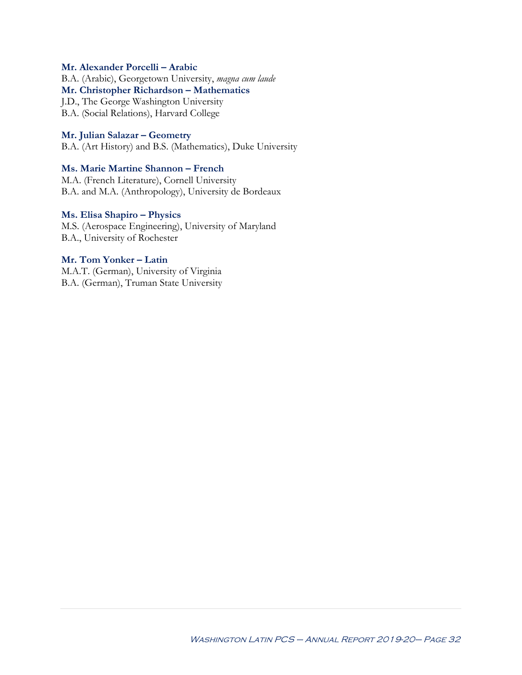#### **Mr. Alexander Porcelli – Arabic**

B.A. (Arabic), Georgetown University, *magna cum laude* **Mr. Christopher Richardson – Mathematics** J.D., The George Washington University

B.A. (Social Relations), Harvard College

#### **Mr. Julian Salazar – Geometry**

B.A. (Art History) and B.S. (Mathematics), Duke University

#### **Ms. Marie Martine Shannon – French**

M.A. (French Literature), Cornell University B.A. and M.A. (Anthropology), University de Bordeaux

#### **Ms. Elisa Shapiro – Physics**

M.S. (Aerospace Engineering), University of Maryland B.A., University of Rochester

#### **Mr. Tom Yonker – Latin**

M.A.T. (German), University of Virginia B.A. (German), Truman State University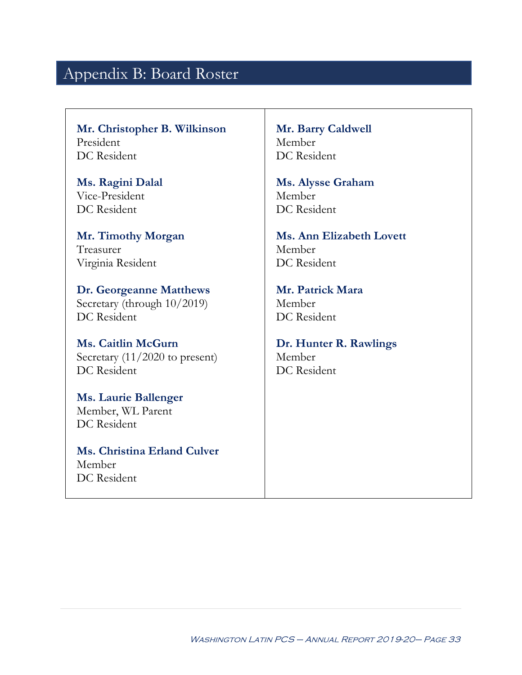## Appendix B: Board Roster

**Mr. Christopher B. Wilkinson** President DC Resident

**Ms. Ragini Dalal** Vice-President DC Resident

**Mr. Timothy Morgan** Treasurer Virginia Resident

**Dr. Georgeanne Matthews** Secretary (through 10/2019) DC Resident

**Ms. Caitlin McGurn** Secretary (11/2020 to present) DC Resident

**Ms. Laurie Ballenger** Member, WL Parent DC Resident

**Ms. Christina Erland Culver** Member DC Resident

**Mr. Barry Caldwell** Member DC Resident

**Ms. Alysse Graham** Member DC Resident

**Ms. Ann Elizabeth Lovett**  Member DC Resident

**Mr. Patrick Mara** Member DC Resident

**Dr. Hunter R. Rawlings** Member DC Resident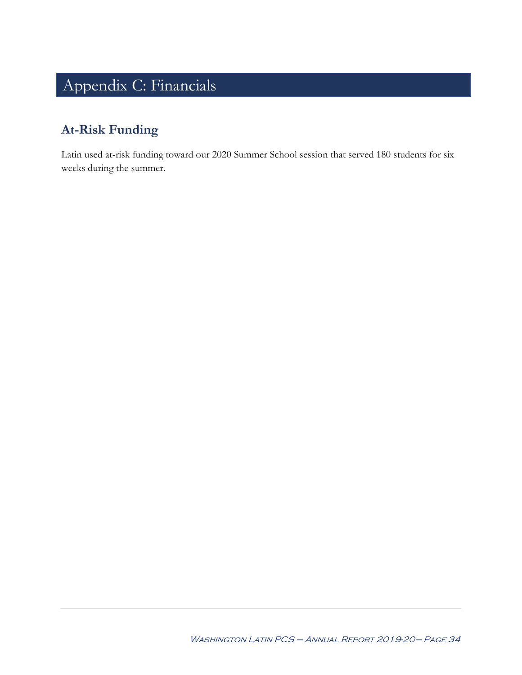# Appendix C: Financials

## **At-Risk Funding**

Latin used at-risk funding toward our 2020 Summer School session that served 180 students for six weeks during the summer.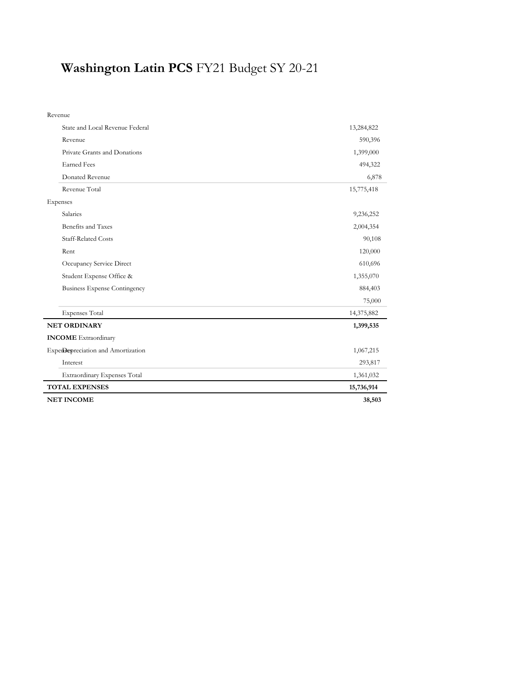# **Washington Latin PCS** FY21 Budget SY 20-21

| <b>NET INCOME</b>                   | 38,503     |
|-------------------------------------|------------|
| <b>TOTAL EXPENSES</b>               | 15,736,914 |
| Extraordinary Expenses Total        | 1,361,032  |
| Interest                            | 293,817    |
| Experienceration and Amortization   | 1,067,215  |
| <b>INCOME</b> Extraordinary         |            |
| <b>NET ORDINARY</b>                 | 1,399,535  |
| <b>Expenses Total</b>               | 14,375,882 |
|                                     | 75,000     |
| <b>Business Expense Contingency</b> | 884,403    |
| Student Expense Office &            | 1,355,070  |
| Occupancy Service Direct            | 610,696    |
| Rent                                | 120,000    |
| <b>Staff-Related Costs</b>          | 90,108     |
| Benefits and Taxes                  | 2,004,354  |
| Salaries                            | 9,236,252  |
| Expenses                            |            |
| Revenue Total                       | 15,775,418 |
| Donated Revenue                     | 6,878      |
| <b>Earned Fees</b>                  | 494,322    |
| Private Grants and Donations        | 1,399,000  |
| Revenue                             | 590,396    |
| State and Local Revenue Federal     | 13,284,822 |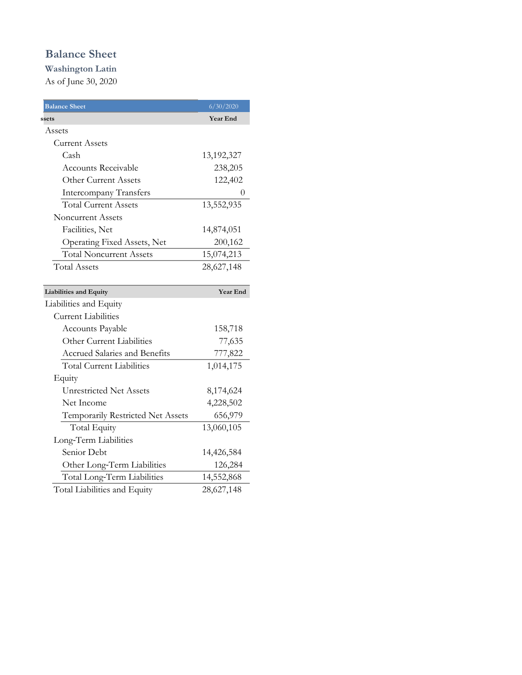## **Balance Sheet**

**Washington Latin**  As of June 30, 2020

| <b>Balance Sheet</b>              | 6/30/2020  |
|-----------------------------------|------------|
| ssets                             | Year End   |
| Assets                            |            |
| <b>Current Assets</b>             |            |
| Cash                              | 13,192,327 |
| <b>Accounts Receivable</b>        | 238,205    |
| Other Current Assets              | 122,402    |
| <b>Intercompany Transfers</b>     | 0          |
| <b>Total Current Assets</b>       | 13,552,935 |
| Noncurrent Assets                 |            |
| Facilities, Net                   | 14,874,051 |
| Operating Fixed Assets, Net       | 200,162    |
| <b>Total Noncurrent Assets</b>    | 15,074,213 |
| <b>Total Assets</b>               | 28,627,148 |
|                                   |            |
| Liabilities and Equity            | Year End   |
|                                   |            |
| Liabilities and Equity            |            |
| <b>Current Liabilities</b>        |            |
| Accounts Payable                  | 158,718    |
| Other Current Liabilities         | 77,635     |
| Accrued Salaries and Benefits     | 777,822    |
| <b>Total Current Liabilities</b>  | 1,014,175  |
| Equity                            |            |
| <b>Unrestricted Net Assets</b>    | 8,174,624  |
| Net Income                        | 4,228,502  |
| Temporarily Restricted Net Assets | 656,979    |
| <b>Total Equity</b>               | 13,060,105 |
| Long-Term Liabilities             |            |
| Senior Debt                       | 14,426,584 |
| Other Long-Term Liabilities       | 126,284    |
| Total Long-Term Liabilities       | 14,552,868 |